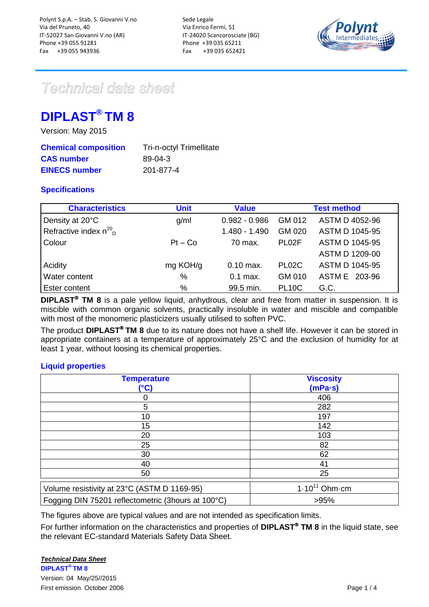

# Technical data sheet

# **DIPLAST® TM 8**

Version: May 2015

| <b>Chemical composition</b> | <b>Tri-n-octyl Trimellitate</b> |
|-----------------------------|---------------------------------|
| <b>CAS number</b>           | 89-04-3                         |
| <b>EINECS number</b>        | 201-877-4                       |

# **Specifications**

| <b>Characteristics</b>                 | <b>Unit</b> | <b>Value</b>    |                    | <b>Test method</b>    |
|----------------------------------------|-------------|-----------------|--------------------|-----------------------|
| Density at 20°C                        | g/ml        | $0.982 - 0.986$ | GM 012             | ASTM D 4052-96        |
| Refractive index $n^{20}$ <sub>D</sub> |             | 1.480 - 1.490   | GM 020             | ASTM D 1045-95        |
| Colour                                 | $Pt - Co$   | 70 max.         | PL <sub>02</sub> F | <b>ASTM D 1045-95</b> |
|                                        |             |                 |                    | ASTM D 1209-00        |
| Acidity                                | mg KOH/g    | $0.10$ max.     | PL02C              | <b>ASTM D 1045-95</b> |
| Water content                          | $\%$        | $0.1$ max.      | GM 010             | ASTM E 203-96         |
| Ester content                          | %           | 99.5 min.       | <b>PL10C</b>       | G.C.                  |

**DIPLAST<sup>®</sup> TM 8** is a pale yellow liquid, anhydrous, clear and free from matter in suspension. It is miscible with common organic solvents, practically insoluble in water and miscible and compatible with most of the monomeric plasticizers usually utilised to soften PVC.

The product **DIPLAST<sup>®</sup> TM 8** due to its nature does not have a shelf life. However it can be stored in appropriate containers at a temperature of approximately 25°C and the exclusion of humidity for at least 1 year, without loosing its chemical properties.

# **Liquid properties**

| <b>Temperature</b>                                 | <b>Viscosity</b>           |
|----------------------------------------------------|----------------------------|
| (°C)                                               | (mPa·s)                    |
|                                                    | 406                        |
| 5                                                  | 282                        |
| 10                                                 | 197                        |
| 15                                                 | 142                        |
| 20                                                 | 103                        |
| 25                                                 | 82                         |
| 30                                                 | 62                         |
| 40                                                 | 41                         |
| 50                                                 | 25                         |
| Volume resistivity at 23°C (ASTM D 1169-95)        | $1.10^{11}$ Ohm $\cdot$ cm |
| Fogging DIN 75201 reflectometric (3hours at 100°C) | >95%                       |

The figures above are typical values and are not intended as specification limits.

For further information on the characteristics and properties of **DIPLAST<sup>®</sup> TM 8** in the liquid state, see the relevant EC-standard Materials Safety Data Sheet.

## *Technical Data Sheet*

**DIPLAST® TM 8**  Version: 04 May/25//2015 First emission October 2006 **Page 1 / 4** and the state of the state of the state of the Page 1 / 4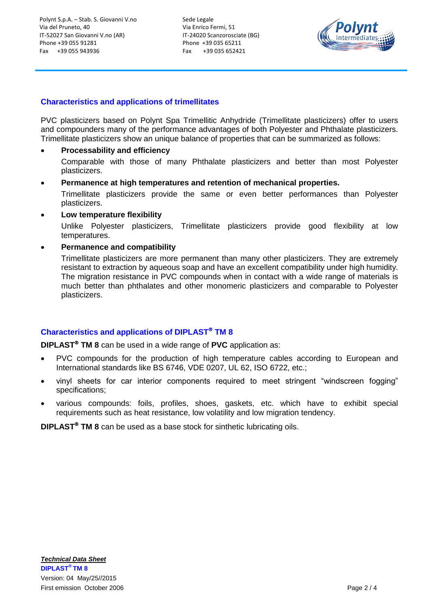Sede Legale Via Enrico Fermi, 51 IT-24020 Scanzorosciate (BG) Phone +39 035 65211 Fax +39 035 652421



### **Characteristics and applications of trimellitates**

PVC plasticizers based on Polynt Spa Trimellitic Anhydride (Trimellitate plasticizers) offer to users and compounders many of the performance advantages of both Polyester and Phthalate plasticizers. Trimellitate plasticizers show an unique balance of properties that can be summarized as follows:

#### **Processability and efficiency**

Comparable with those of many Phthalate plasticizers and better than most Polyester plasticizers.

**Permanence at high temperatures and retention of mechanical properties.**

Trimellitate plasticizers provide the same or even better performances than Polyester plasticizers.

**Low temperature flexibility**

Unlike Polyester plasticizers, Trimellitate plasticizers provide good flexibility at low temperatures.

#### **Permanence and compatibility**

Trimellitate plasticizers are more permanent than many other plasticizers. They are extremely resistant to extraction by aqueous soap and have an excellent compatibility under high humidity. The migration resistance in PVC compounds when in contact with a wide range of materials is much better than phthalates and other monomeric plasticizers and comparable to Polyester plasticizers.

## **Characteristics and applications of DIPLAST TM 8**

**DIPLAST<sup>®</sup> TM 8** can be used in a wide range of PVC application as:

- PVC compounds for the production of high temperature cables according to European and International standards like BS 6746, VDE 0207, UL 62, ISO 6722, etc.;
- vinyl sheets for car interior components required to meet stringent "windscreen fogging" specifications;
- various compounds: foils, profiles, shoes, gaskets, etc. which have to exhibit special requirements such as heat resistance, low volatility and low migration tendency.

**DIPLAST<sup>®</sup> TM 8** can be used as a base stock for sinthetic lubricating oils.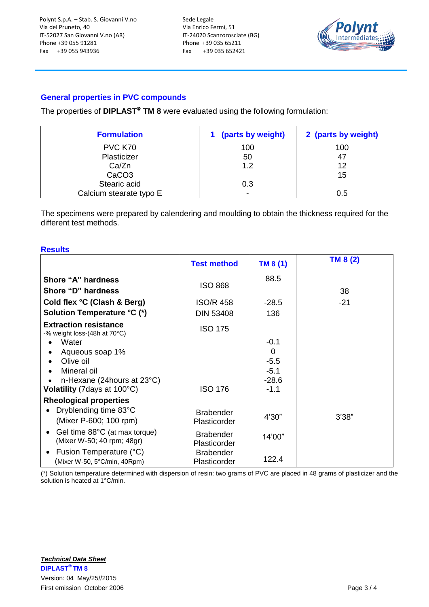Sede Legale Via Enrico Fermi, 51 IT-24020 Scanzorosciate (BG) Phone +39 035 65211 Fax +39 035 652421



# **General properties in PVC compounds**

The properties of **DIPLAST<sup>®</sup> TM 8** were evaluated using the following formulation:

| <b>Formulation</b>      | 1 (parts by weight)      | 2 (parts by weight) |
|-------------------------|--------------------------|---------------------|
| PVC K70                 | 100                      | 100                 |
| Plasticizer             | 50                       | 47                  |
| Ca/Zn                   | 1.2                      | 12                  |
| CaCO <sub>3</sub>       |                          | 15                  |
| Stearic acid            | 0.3                      |                     |
| Calcium stearate typo E | $\overline{\phantom{0}}$ | 0.5                 |

The specimens were prepared by calendering and moulding to obtain the thickness required for the different test methods.

#### **Results**

|                                                                          | <b>Test method</b>                 | TM 8(1)                     | TM 8 (2) |
|--------------------------------------------------------------------------|------------------------------------|-----------------------------|----------|
| Shore "A" hardness<br>Shore "D" hardness                                 | <b>ISO 868</b>                     | 88.5                        | 38       |
| Cold flex °C (Clash & Berg)<br>Solution Temperature °C (*)               | <b>ISO/R 458</b>                   | $-28.5$                     | $-21$    |
| <b>Extraction resistance</b><br>-% weight loss-(48h at 70°C)             | <b>DIN 53408</b><br><b>ISO 175</b> | 136                         |          |
| Water<br>Aqueous soap 1%                                                 |                                    | $-0.1$<br>0                 |          |
| Olive oil<br>Mineral oil<br>n-Hexane (24 hours at 23°C)                  |                                    | $-5.5$<br>$-5.1$<br>$-28.6$ |          |
| Volatility (7 days at 100°C)                                             | <b>ISO 176</b>                     | $-1.1$                      |          |
| <b>Rheological properties</b>                                            |                                    |                             |          |
| Dryblending time 83°C<br>$\bullet$<br>(Mixer P-600; 100 rpm)             | <b>Brabender</b><br>Plasticorder   | 4'30"                       | 3'38"    |
| Gel time 88°C (at max torque)<br>$\bullet$<br>(Mixer W-50; 40 rpm; 48gr) | <b>Brabender</b><br>Plasticorder   | 14'00"                      |          |
| Fusion Temperature (°C)<br>٠<br>(Mixer W-50, 5°C/min, 40Rpm)             | <b>Brabender</b><br>Plasticorder   | 122.4                       |          |

(\*) Solution temperature determined with dispersion of resin: two grams of PVC are placed in 48 grams of plasticizer and the solution is heated at 1°C/min.